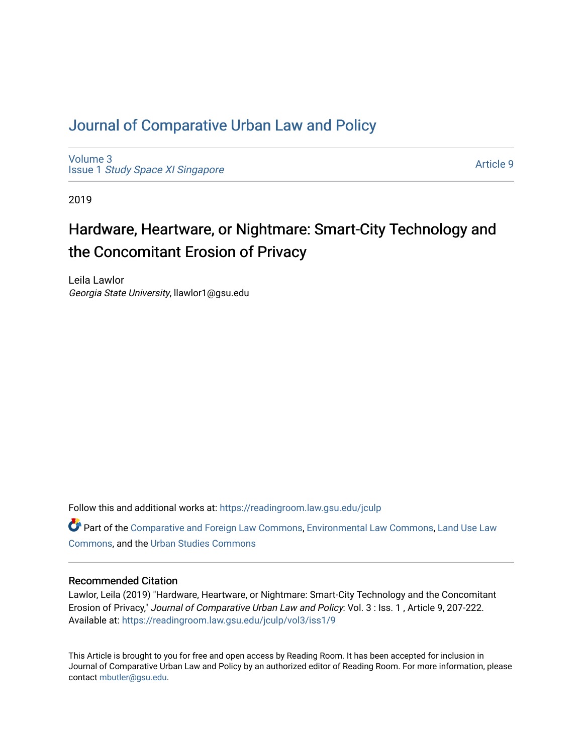# [Journal of Comparative Urban Law and Policy](https://readingroom.law.gsu.edu/jculp)

[Volume 3](https://readingroom.law.gsu.edu/jculp/vol3) Issue 1 [Study Space XI Singapore](https://readingroom.law.gsu.edu/jculp/vol3/iss1)

[Article 9](https://readingroom.law.gsu.edu/jculp/vol3/iss1/9) 

2019

# Hardware, Heartware, or Nightmare: Smart-City Technology and the Concomitant Erosion of Privacy

Leila Lawlor Georgia State University, llawlor1@gsu.edu

Follow this and additional works at: [https://readingroom.law.gsu.edu/jculp](https://readingroom.law.gsu.edu/jculp?utm_source=readingroom.law.gsu.edu%2Fjculp%2Fvol3%2Fiss1%2F9&utm_medium=PDF&utm_campaign=PDFCoverPages) 

Part of the [Comparative and Foreign Law Commons,](http://network.bepress.com/hgg/discipline/836?utm_source=readingroom.law.gsu.edu%2Fjculp%2Fvol3%2Fiss1%2F9&utm_medium=PDF&utm_campaign=PDFCoverPages) [Environmental Law Commons](http://network.bepress.com/hgg/discipline/599?utm_source=readingroom.law.gsu.edu%2Fjculp%2Fvol3%2Fiss1%2F9&utm_medium=PDF&utm_campaign=PDFCoverPages), Land Use Law [Commons](http://network.bepress.com/hgg/discipline/852?utm_source=readingroom.law.gsu.edu%2Fjculp%2Fvol3%2Fiss1%2F9&utm_medium=PDF&utm_campaign=PDFCoverPages), and the [Urban Studies Commons](http://network.bepress.com/hgg/discipline/402?utm_source=readingroom.law.gsu.edu%2Fjculp%2Fvol3%2Fiss1%2F9&utm_medium=PDF&utm_campaign=PDFCoverPages) 

#### Recommended Citation

Lawlor, Leila (2019) "Hardware, Heartware, or Nightmare: Smart-City Technology and the Concomitant Erosion of Privacy," Journal of Comparative Urban Law and Policy: Vol. 3 : Iss. 1 , Article 9, 207-222. Available at: [https://readingroom.law.gsu.edu/jculp/vol3/iss1/9](https://readingroom.law.gsu.edu/jculp/vol3/iss1/9?utm_source=readingroom.law.gsu.edu%2Fjculp%2Fvol3%2Fiss1%2F9&utm_medium=PDF&utm_campaign=PDFCoverPages) 

This Article is brought to you for free and open access by Reading Room. It has been accepted for inclusion in Journal of Comparative Urban Law and Policy by an authorized editor of Reading Room. For more information, please contact [mbutler@gsu.edu](mailto:mbutler@gsu.edu).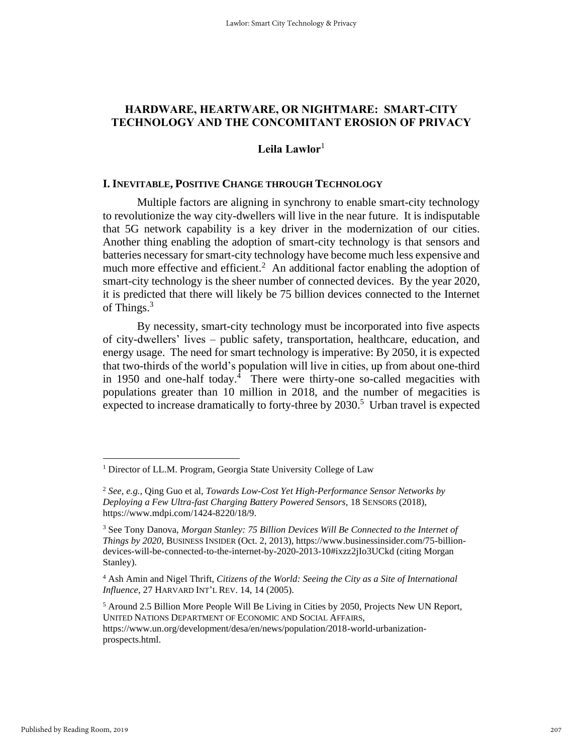# **HARDWARE, HEARTWARE, OR NIGHTMARE: SMART-CITY TECHNOLOGY AND THE CONCOMITANT EROSION OF PRIVACY**

## **Leila Lawlor**<sup>1</sup>

#### **I. INEVITABLE, POSITIVE CHANGE THROUGH TECHNOLOGY**

Multiple factors are aligning in synchrony to enable smart-city technology to revolutionize the way city-dwellers will live in the near future. It is indisputable that 5G network capability is a key driver in the modernization of our cities. Another thing enabling the adoption of smart-city technology is that sensors and batteries necessary for smart-city technology have become much less expensive and much more effective and efficient.<sup>2</sup> An additional factor enabling the adoption of smart-city technology is the sheer number of connected devices. By the year 2020, it is predicted that there will likely be 75 billion devices connected to the Internet of Things.<sup>3</sup>

By necessity, smart-city technology must be incorporated into five aspects of city-dwellers' lives – public safety, transportation, healthcare, education, and energy usage. The need for smart technology is imperative: By 2050, it is expected that two-thirds of the world's population will live in cities, up from about one-third in 1950 and one-half today.<sup>4</sup> There were thirty-one so-called megacities with populations greater than 10 million in 2018, and the number of megacities is expected to increase dramatically to forty-three by 2030.<sup>5</sup> Urban travel is expected

<sup>&</sup>lt;sup>1</sup> Director of LL.M. Program, Georgia State University College of Law

<sup>2</sup> *See, e.g.,* Qing Guo et al, *Towards Low-Cost Yet High-Performance Sensor Networks by Deploying a Few Ultra-fast Charging Battery Powered Sensors,* 18 SENSORS (2018), https://www.mdpi.com/1424-8220/18/9.

<sup>3</sup> See Tony Danova, *Morgan Stanley: 75 Billion Devices Will Be Connected to the Internet of Things by 2020,* BUSINESS INSIDER (Oct. 2, 2013), https://www.businessinsider.com/75-billiondevices-will-be-connected-to-the-internet-by-2020-2013-10#ixzz2jIo3UCkd (citing Morgan Stanley).

<sup>4</sup> Ash Amin and Nigel Thrift, *Citizens of the World: Seeing the City as a Site of International Influence,* 27 HARVARD INT'L REV. 14, 14 (2005).

<sup>5</sup> Around 2.5 Billion More People Will Be Living in Cities by 2050, Projects New UN Report, UNITED NATIONS DEPARTMENT OF ECONOMIC AND SOCIAL AFFAIRS, https://www.un.org/development/desa/en/news/population/2018-world-urbanizationprospects.html.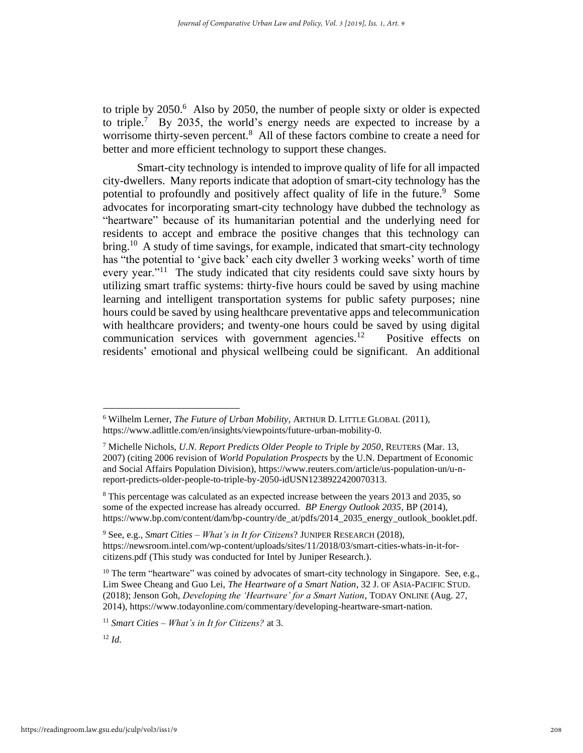to triple by  $2050$ .<sup>6</sup> Also by 2050, the number of people sixty or older is expected to triple.<sup>7</sup> By 2035, the world's energy needs are expected to increase by a worrisome thirty-seven percent.<sup>8</sup> All of these factors combine to create a need for better and more efficient technology to support these changes.

Smart-city technology is intended to improve quality of life for all impacted city-dwellers. Many reports indicate that adoption of smart-city technology has the potential to profoundly and positively affect quality of life in the future.<sup>9</sup> Some advocates for incorporating smart-city technology have dubbed the technology as "heartware" because of its humanitarian potential and the underlying need for residents to accept and embrace the positive changes that this technology can bring.<sup>10</sup> A study of time savings, for example, indicated that smart-city technology has "the potential to 'give back' each city dweller 3 working weeks' worth of time every year."<sup>11</sup> The study indicated that city residents could save sixty hours by utilizing smart traffic systems: thirty-five hours could be saved by using machine learning and intelligent transportation systems for public safety purposes; nine hours could be saved by using healthcare preventative apps and telecommunication with healthcare providers; and twenty-one hours could be saved by using digital communication services with government agencies. $^{12}$  Positive effects on residents' emotional and physical wellbeing could be significant. An additional

<sup>9</sup> See, e.g., *Smart Cities – What's in It for Citizens*? JUNIPER RESEARCH (2018), https://newsroom.intel.com/wp-content/uploads/sites/11/2018/03/smart-cities-whats-in-it-forcitizens.pdf (This study was conducted for Intel by Juniper Research.).

<sup>11</sup> *Smart Cities – What's in It for Citizens?* at 3.

<sup>6</sup> Wilhelm Lerner, *The Future of Urban Mobility*, ARTHUR D. LITTLE GLOBAL (2011), https://www.adlittle.com/en/insights/viewpoints/future-urban-mobility-0.

<sup>7</sup> Michelle Nichols, *U.N. Report Predicts Older People to Triple by 2050*, REUTERS (Mar. 13, 2007) (citing 2006 revision of *World Population Prospects* by the U.N. Department of Economic and Social Affairs Population Division), https://www.reuters.com/article/us-population-un/u-nreport-predicts-older-people-to-triple-by-2050-idUSN1238922420070313.

<sup>8</sup> This percentage was calculated as an expected increase between the years 2013 and 2035, so some of the expected increase has already occurred. *BP Energy Outlook 2035*, BP (2014), https://www.bp.com/content/dam/bp-country/de\_at/pdfs/2014\_2035\_energy\_outlook\_booklet.pdf.

<sup>&</sup>lt;sup>10</sup> The term "heartware" was coined by advocates of smart-city technology in Singapore. See, e.g., Lim Swee Cheang and Guo Lei, *The Heartware of a Smart Nation*, 32 J. OF ASIA-PACIFIC STUD. (2018); Jenson Goh, *Developing the 'Heartware' for a Smart Nation*, TODAY ONLINE (Aug. 27, 2014), https://www.todayonline.com/commentary/developing-heartware-smart-nation.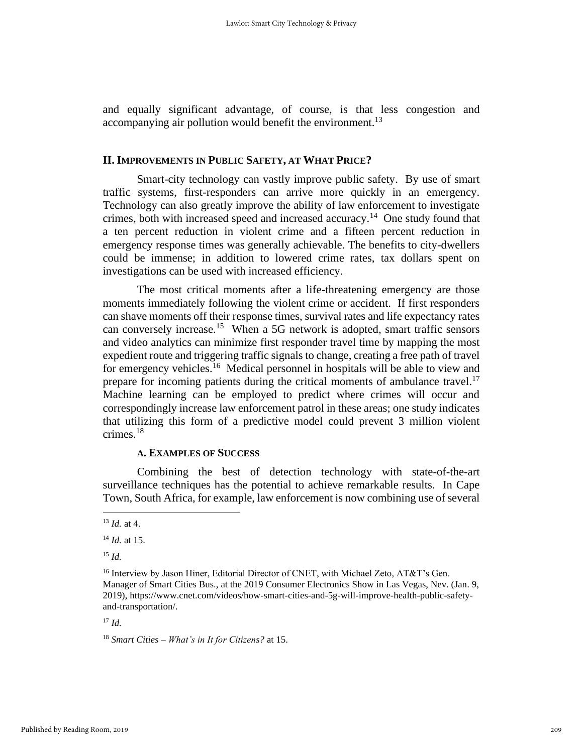and equally significant advantage, of course, is that less congestion and accompanying air pollution would benefit the environment.<sup>13</sup>

#### **II. IMPROVEMENTS IN PUBLIC SAFETY, AT WHAT PRICE?**

Smart-city technology can vastly improve public safety. By use of smart traffic systems, first-responders can arrive more quickly in an emergency. Technology can also greatly improve the ability of law enforcement to investigate crimes, both with increased speed and increased accuracy.<sup>14</sup> One study found that a ten percent reduction in violent crime and a fifteen percent reduction in emergency response times was generally achievable. The benefits to city-dwellers could be immense; in addition to lowered crime rates, tax dollars spent on investigations can be used with increased efficiency.

The most critical moments after a life-threatening emergency are those moments immediately following the violent crime or accident. If first responders can shave moments off their response times, survival rates and life expectancy rates can conversely increase.<sup>15</sup> When a 5G network is adopted, smart traffic sensors and video analytics can minimize first responder travel time by mapping the most expedient route and triggering traffic signals to change, creating a free path of travel for emergency vehicles.<sup>16</sup> Medical personnel in hospitals will be able to view and prepare for incoming patients during the critical moments of ambulance travel.<sup>17</sup> Machine learning can be employed to predict where crimes will occur and correspondingly increase law enforcement patrol in these areas; one study indicates that utilizing this form of a predictive model could prevent 3 million violent crimes.<sup>18</sup>

#### **A. EXAMPLES OF SUCCESS**

Combining the best of detection technology with state-of-the-art surveillance techniques has the potential to achieve remarkable results. In Cape Town, South Africa, for example, law enforcement is now combining use of several

 $17 \, \text{Id}$ 

<sup>18</sup> *Smart Cities – What's in It for Citizens?* at 15.

<sup>13</sup> *Id.* at 4.

<sup>14</sup> *Id.* at 15.

<sup>15</sup> *Id.*

<sup>&</sup>lt;sup>16</sup> Interview by Jason Hiner, Editorial Director of CNET, with Michael Zeto, AT&T's Gen. Manager of Smart Cities Bus., at the 2019 Consumer Electronics Show in Las Vegas, Nev. (Jan. 9, 2019), https://www.cnet.com/videos/how-smart-cities-and-5g-will-improve-health-public-safetyand-transportation/.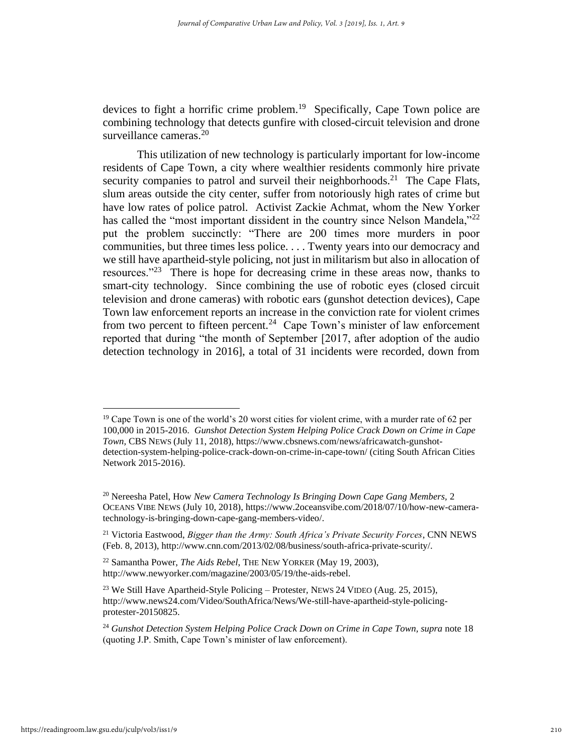devices to fight a horrific crime problem. 19 Specifically, Cape Town police are combining technology that detects gunfire with closed-circuit television and drone surveillance cameras.<sup>20</sup>

This utilization of new technology is particularly important for low-income residents of Cape Town, a city where wealthier residents commonly hire private security companies to patrol and surveil their neighborhoods.<sup>21</sup> The Cape Flats, slum areas outside the city center, suffer from notoriously high rates of crime but have low rates of police patrol. Activist Zackie Achmat, whom the New Yorker has called the "most important dissident in the country since Nelson Mandela,"<sup>22</sup> put the problem succinctly: "There are 200 times more murders in poor communities, but three times less police. . . . Twenty years into our democracy and we still have apartheid-style policing, not just in militarism but also in allocation of resources."<sup>23</sup> There is hope for decreasing crime in these areas now, thanks to smart-city technology. Since combining the use of robotic eyes (closed circuit television and drone cameras) with robotic ears (gunshot detection devices), Cape Town law enforcement reports an increase in the conviction rate for violent crimes from two percent to fifteen percent.<sup>24</sup> Cape Town's minister of law enforcement reported that during "the month of September [2017, after adoption of the audio detection technology in 2016], a total of 31 incidents were recorded, down from

 $19$  Cape Town is one of the world's 20 worst cities for violent crime, with a murder rate of 62 per 100,000 in 2015-2016. *Gunshot Detection System Helping Police Crack Down on Crime in Cape Town,* CBS NEWS (July 11, 2018), https://www.cbsnews.com/news/africawatch-gunshotdetection-system-helping-police-crack-down-on-crime-in-cape-town/ (citing South African Cities Network 2015-2016).

<sup>20</sup> Nereesha Patel, How *New Camera Technology Is Bringing Down Cape Gang Members,* 2 OCEANS VIBE NEWS (July 10, 2018), https://www.2oceansvibe.com/2018/07/10/how-new-cameratechnology-is-bringing-down-cape-gang-members-video/.

<sup>21</sup> Victoria Eastwood, *Bigger than the Army: South Africa's Private Security Forces*, CNN NEWS (Feb. 8, 2013), http://www.cnn.com/2013/02/08/business/south-africa-private-scurity/.

<sup>22</sup> Samantha Power, *The Aids Rebel*, THE NEW YORKER (May 19, 2003), http://www.newyorker.com/magazine/2003/05/19/the-aids-rebel.

<sup>23</sup> We Still Have Apartheid-Style Policing – Protester*,* NEWS 24 VIDEO (Aug. 25, 2015), http://www.news24.com/Video/SouthAfrica/News/We-still-have-apartheid-style-policingprotester-20150825.

<sup>&</sup>lt;sup>24</sup> Gunshot Detection System Helping Police Crack Down on Crime in Cape Town, supra note 18 (quoting J.P. Smith, Cape Town's minister of law enforcement).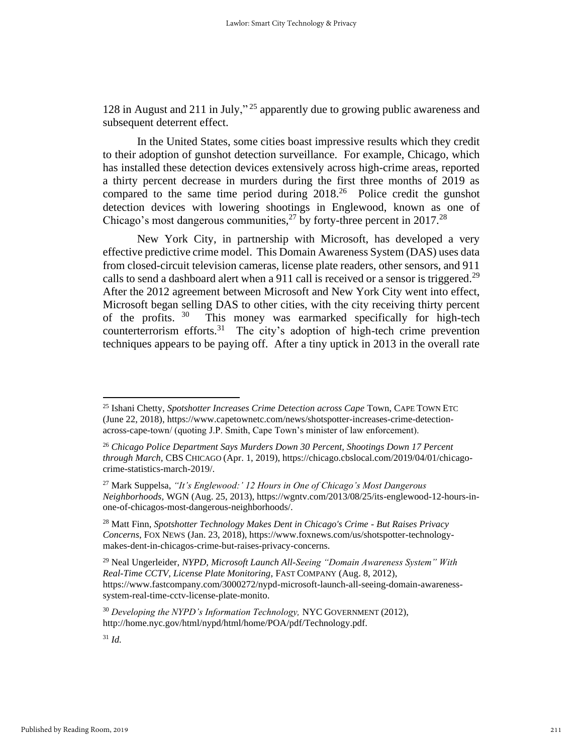128 in August and 211 in July," <sup>25</sup> apparently due to growing public awareness and subsequent deterrent effect.

In the United States, some cities boast impressive results which they credit to their adoption of gunshot detection surveillance. For example, Chicago, which has installed these detection devices extensively across high-crime areas, reported a thirty percent decrease in murders during the first three months of 2019 as compared to the same time period during  $2018<sup>26</sup>$  Police credit the gunshot detection devices with lowering shootings in Englewood, known as one of Chicago's most dangerous communities,<sup>27</sup> by forty-three percent in 2017.<sup>28</sup>

New York City, in partnership with Microsoft, has developed a very effective predictive crime model. This Domain Awareness System (DAS) uses data from closed-circuit television cameras, license plate readers, other sensors, and 911 calls to send a dashboard alert when a 911 call is received or a sensor is triggered.<sup>29</sup> After the 2012 agreement between Microsoft and New York City went into effect, Microsoft began selling DAS to other cities, with the city receiving thirty percent of the profits.  $30$  This money was earmarked specifically for high-tech counterterrorism efforts.<sup>31</sup> The city's adoption of high-tech crime prevention techniques appears to be paying off. After a tiny uptick in 2013 in the overall rate

<sup>29</sup> Neal Ungerleider, *NYPD, Microsoft Launch All-Seeing "Domain Awareness System" With Real-Time CCTV, License Plate Monitoring*, FAST COMPANY (Aug. 8, 2012), https://www.fastcompany.com/3000272/nypd-microsoft-launch-all-seeing-domain-awarenesssystem-real-time-cctv-license-plate-monito.

<sup>25</sup> Ishani Chetty, *Spotshotter Increases Crime Detection across Cape* Town, CAPE TOWN ETC (June 22, 2018), https://www.capetownetc.com/news/shotspotter-increases-crime-detectionacross-cape-town/ (quoting J.P. Smith, Cape Town's minister of law enforcement).

<sup>26</sup> *Chicago Police Department Says Murders Down 30 Percent, Shootings Down 17 Percent through March,* CBS CHICAGO (Apr. 1, 2019), https://chicago.cbslocal.com/2019/04/01/chicagocrime-statistics-march-2019/.

<sup>27</sup> Mark Suppelsa, *"It's Englewood:' 12 Hours in One of Chicago's Most Dangerous Neighborhoods,* WGN (Aug. 25, 2013), https://wgntv.com/2013/08/25/its-englewood-12-hours-inone-of-chicagos-most-dangerous-neighborhoods/.

<sup>28</sup> Matt Finn, *Spotshotter Technology Makes Dent in Chicago's Crime - But Raises Privacy Concerns*, FOX NEWS (Jan. 23, 2018), https://www.foxnews.com/us/shotspotter-technologymakes-dent-in-chicagos-crime-but-raises-privacy-concerns.

<sup>30</sup> *Developing the NYPD's Information Technology,* NYC GOVERNMENT (2012), http://home.nyc.gov/html/nypd/html/home/POA/pdf/Technology.pdf.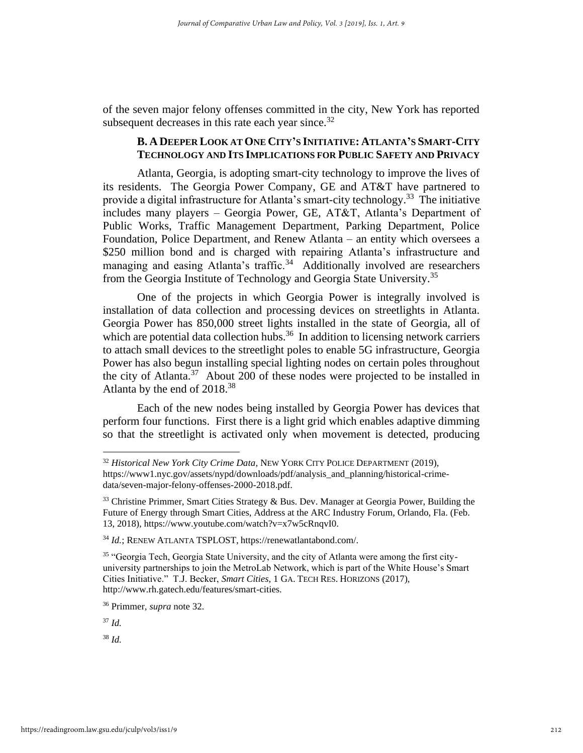of the seven major felony offenses committed in the city, New York has reported subsequent decreases in this rate each year since. $32$ 

# B. A DEEPER LOOK AT ONE CITY'S INITIATIVE: ATLANTA'S SMART-CITY **TECHNOLOGY AND ITS IMPLICATIONS FOR PUBLIC SAFETY AND PRIVACY**

Atlanta, Georgia, is adopting smart-city technology to improve the lives of its residents. The Georgia Power Company, GE and AT&T have partnered to provide a digital infrastructure for Atlanta's smart-city technology.<sup>33</sup> The initiative includes many players – Georgia Power, GE, AT&T, Atlanta's Department of Public Works, Traffic Management Department, Parking Department, Police Foundation, Police Department, and Renew Atlanta – an entity which oversees a \$250 million bond and is charged with repairing Atlanta's infrastructure and managing and easing Atlanta's traffic.<sup>34</sup> Additionally involved are researchers from the Georgia Institute of Technology and Georgia State University.<sup>35</sup>

One of the projects in which Georgia Power is integrally involved is installation of data collection and processing devices on streetlights in Atlanta. Georgia Power has 850,000 street lights installed in the state of Georgia, all of which are potential data collection hubs.<sup>36</sup> In addition to licensing network carriers to attach small devices to the streetlight poles to enable 5G infrastructure, Georgia Power has also begun installing special lighting nodes on certain poles throughout the city of Atlanta. $37$  About 200 of these nodes were projected to be installed in Atlanta by the end of 2018.<sup>38</sup>

Each of the new nodes being installed by Georgia Power has devices that perform four functions. First there is a light grid which enables adaptive dimming so that the streetlight is activated only when movement is detected, producing

<sup>37</sup> *Id.*

<sup>32</sup> *Historical New York City Crime Data*, NEW YORK CITY POLICE DEPARTMENT (2019), https://www1.nyc.gov/assets/nypd/downloads/pdf/analysis\_and\_planning/historical-crimedata/seven-major-felony-offenses-2000-2018.pdf.

 $33$  Christine Primmer, Smart Cities Strategy & Bus. Dev. Manager at Georgia Power, Building the Future of Energy through Smart Cities, Address at the ARC Industry Forum, Orlando, Fla. (Feb. 13, 2018), https://www.youtube.com/watch?v=x7w5cRnqvI0.

<sup>34</sup> *Id.*; RENEW ATLANTA TSPLOST, https://renewatlantabond.com/.

<sup>&</sup>lt;sup>35</sup> "Georgia Tech, Georgia State University, and the city of Atlanta were among the first cityuniversity partnerships to join the MetroLab Network, which is part of the White House's Smart Cities Initiative." T.J. Becker, *Smart Cities*, 1 GA. TECH RES. HORIZONS (2017), http://www.rh.gatech.edu/features/smart-cities.

<sup>36</sup> Primmer, *supra* note 32.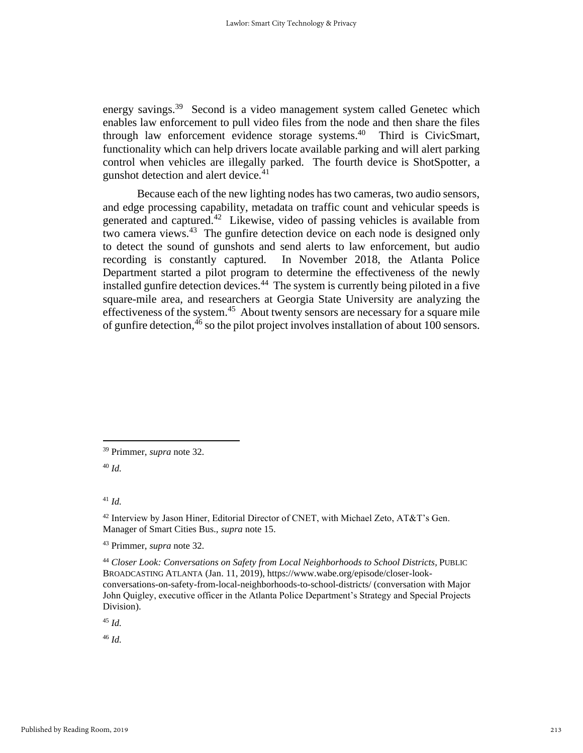energy savings.<sup>39</sup> Second is a video management system called Genetec which enables law enforcement to pull video files from the node and then share the files through law enforcement evidence storage systems. 40 Third is CivicSmart, functionality which can help drivers locate available parking and will alert parking control when vehicles are illegally parked. The fourth device is ShotSpotter, a gunshot detection and alert device.<sup>41</sup>

Because each of the new lighting nodes has two cameras, two audio sensors, and edge processing capability, metadata on traffic count and vehicular speeds is generated and captured.<sup>42</sup> Likewise, video of passing vehicles is available from two camera views.<sup>43</sup> The gunfire detection device on each node is designed only to detect the sound of gunshots and send alerts to law enforcement, but audio recording is constantly captured. In November 2018, the Atlanta Police Department started a pilot program to determine the effectiveness of the newly installed gunfire detection devices.<sup>44</sup> The system is currently being piloted in a five square-mile area, and researchers at Georgia State University are analyzing the effectiveness of the system.<sup>45</sup> About twenty sensors are necessary for a square mile of gunfire detection,  $46$  so the pilot project involves installation of about 100 sensors.

<sup>45</sup> *Id.*

<sup>39</sup> Primmer, *supra* note 32.

<sup>40</sup> *Id.*

<sup>41</sup> *Id.*

<sup>42</sup> Interview by Jason Hiner, Editorial Director of CNET, with Michael Zeto, AT&T's Gen. Manager of Smart Cities Bus., *supra* note 15.

<sup>43</sup> Primmer, *supra* note 32.

<sup>44</sup> *Closer Look: Conversations on Safety from Local Neighborhoods to School Districts,* PUBLIC BROADCASTING ATLANTA (Jan. 11, 2019), https://www.wabe.org/episode/closer-lookconversations-on-safety-from-local-neighborhoods-to-school-districts/ (conversation with Major John Quigley, executive officer in the Atlanta Police Department's Strategy and Special Projects Division).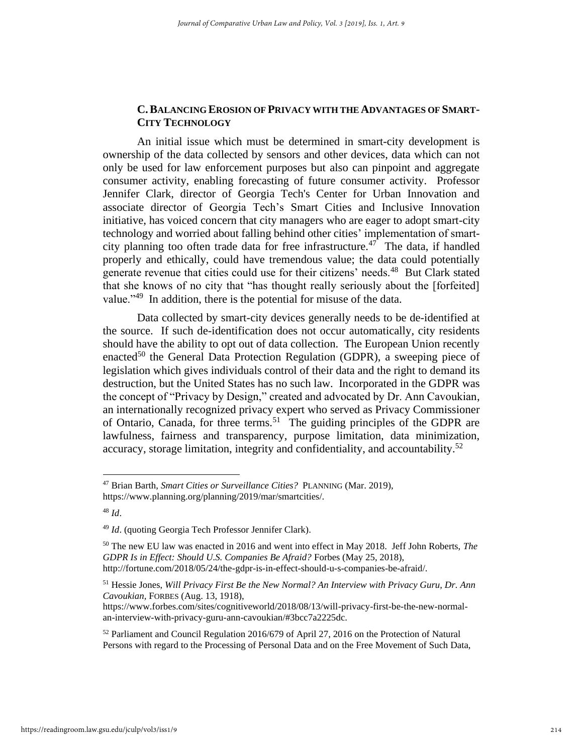## **C.BALANCING EROSION OF PRIVACY WITH THE ADVANTAGES OF SMART-CITY TECHNOLOGY**

An initial issue which must be determined in smart-city development is ownership of the data collected by sensors and other devices, data which can not only be used for law enforcement purposes but also can pinpoint and aggregate consumer activity, enabling forecasting of future consumer activity. Professor Jennifer Clark, director of Georgia Tech's Center for Urban Innovation and associate director of Georgia Tech's Smart Cities and Inclusive Innovation initiative, has voiced concern that city managers who are eager to adopt smart-city technology and worried about falling behind other cities' implementation of smartcity planning too often trade data for free infrastructure.<sup>47</sup> The data, if handled properly and ethically, could have tremendous value; the data could potentially generate revenue that cities could use for their citizens' needs.<sup>48</sup> But Clark stated that she knows of no city that "has thought really seriously about the [forfeited] value."<sup>49</sup> In addition, there is the potential for misuse of the data.

Data collected by smart-city devices generally needs to be de-identified at the source. If such de-identification does not occur automatically, city residents should have the ability to opt out of data collection. The European Union recently enacted<sup>50</sup> the General Data Protection Regulation (GDPR), a sweeping piece of legislation which gives individuals control of their data and the right to demand its destruction, but the United States has no such law. Incorporated in the GDPR was the concept of "Privacy by Design," created and advocated by Dr. Ann Cavoukian, an internationally recognized privacy expert who served as Privacy Commissioner of Ontario, Canada, for three terms.<sup>51</sup> The guiding principles of the GDPR are lawfulness, fairness and transparency, purpose limitation, data minimization, accuracy, storage limitation, integrity and confidentiality, and accountability.<sup>52</sup>

<sup>47</sup> Brian Barth, *Smart Cities or Surveillance Cities?* PLANNING (Mar. 2019), https://www.planning.org/planning/2019/mar/smartcities/.

<sup>48</sup> *Id*.

<sup>49</sup> *Id*. (quoting Georgia Tech Professor Jennifer Clark).

<sup>50</sup> The new EU law was enacted in 2016 and went into effect in May 2018. Jeff John Roberts, *The GDPR Is in Effect: Should U.S. Companies Be Afraid?* Forbes (May 25, 2018), http://fortune.com/2018/05/24/the-gdpr-is-in-effect-should-u-s-companies-be-afraid/.

<sup>51</sup> Hessie Jones, *Will Privacy First Be the New Normal? An Interview with Privacy Guru, Dr. Ann Cavoukian,* FORBES (Aug. 13, 1918),

https://www.forbes.com/sites/cognitiveworld/2018/08/13/will-privacy-first-be-the-new-normalan-interview-with-privacy-guru-ann-cavoukian/#3bcc7a2225dc.

<sup>52</sup> Parliament and Council Regulation 2016/679 of April 27, 2016 on the Protection of Natural Persons with regard to the Processing of Personal Data and on the Free Movement of Such Data,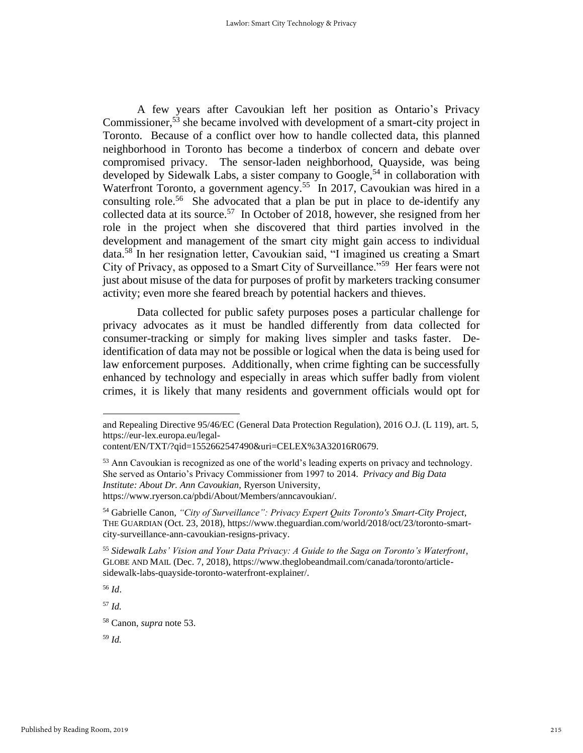A few years after Cavoukian left her position as Ontario's Privacy Commissioner,<sup>53</sup> she became involved with development of a smart-city project in Toronto. Because of a conflict over how to handle collected data, this planned neighborhood in Toronto has become a tinderbox of concern and debate over compromised privacy. The sensor-laden neighborhood, Quayside, was being developed by Sidewalk Labs, a sister company to Google,<sup>54</sup> in collaboration with Waterfront Toronto, a government agency.<sup>55</sup> In 2017, Cavoukian was hired in a consulting role. 56 She advocated that a plan be put in place to de-identify any collected data at its source.<sup>57</sup> In October of 2018, however, she resigned from her role in the project when she discovered that third parties involved in the development and management of the smart city might gain access to individual data.<sup>58</sup> In her resignation letter, Cavoukian said, "I imagined us creating a Smart City of Privacy, as opposed to a Smart City of Surveillance."<sup>59</sup> Her fears were not just about misuse of the data for purposes of profit by marketers tracking consumer activity; even more she feared breach by potential hackers and thieves.

Data collected for public safety purposes poses a particular challenge for privacy advocates as it must be handled differently from data collected for consumer-tracking or simply for making lives simpler and tasks faster. Deidentification of data may not be possible or logical when the data is being used for law enforcement purposes. Additionally, when crime fighting can be successfully enhanced by technology and especially in areas which suffer badly from violent crimes, it is likely that many residents and government officials would opt for

<sup>56</sup> *Id*.

<sup>57</sup> *Id.*

and Repealing Directive 95/46/EC (General Data Protection Regulation), 2016 O.J. (L 119), art. 5, https://eur-lex.europa.eu/legal-

content/EN/TXT/?qid=1552662547490&uri=CELEX%3A32016R0679.

<sup>&</sup>lt;sup>53</sup> Ann Cavoukian is recognized as one of the world's leading experts on privacy and technology. She served as Ontario's Privacy Commissioner from 1997 to 2014. *Privacy and Big Data Institute: About Dr. Ann Cavoukian,* Ryerson University, https://www.ryerson.ca/pbdi/About/Members/anncavoukian/.

<sup>54</sup> Gabrielle Canon, *"City of Surveillance": Privacy Expert Quits Toronto's Smart-City Project*, THE GUARDIAN (Oct. 23, 2018), https://www.theguardian.com/world/2018/oct/23/toronto-smartcity-surveillance-ann-cavoukian-resigns-privacy.

<sup>55</sup> *Sidewalk Labs' Vision and Your Data Privacy: A Guide to the Saga on Toronto's Waterfront*, GLOBE AND MAIL (Dec. 7, 2018), https://www.theglobeandmail.com/canada/toronto/articlesidewalk-labs-quayside-toronto-waterfront-explainer/.

<sup>58</sup> Canon, *supra* note 53.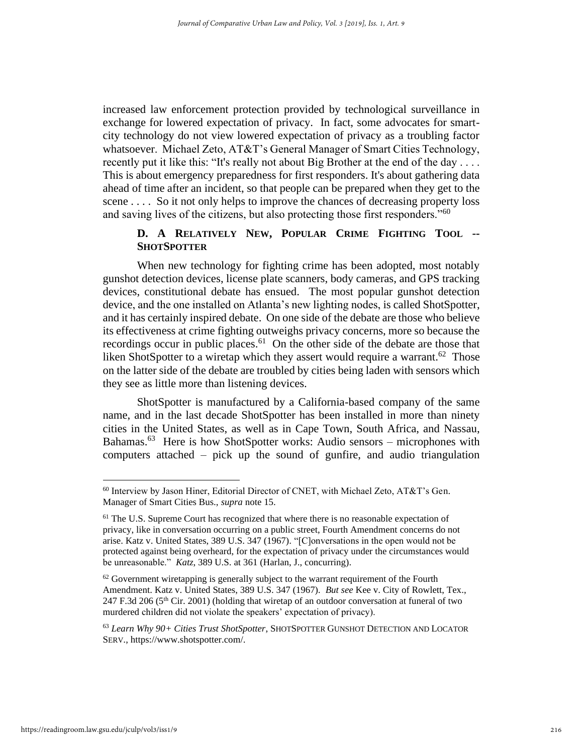increased law enforcement protection provided by technological surveillance in exchange for lowered expectation of privacy. In fact, some advocates for smartcity technology do not view lowered expectation of privacy as a troubling factor whatsoever. Michael Zeto, AT&T's General Manager of Smart Cities Technology, recently put it like this: "It's really not about Big Brother at the end of the day . . . . This is about emergency preparedness for first responders. It's about gathering data ahead of time after an incident, so that people can be prepared when they get to the scene . . . . So it not only helps to improve the chances of decreasing property loss and saving lives of the citizens, but also protecting those first responders."<sup>60</sup>

# **D. A RELATIVELY NEW, POPULAR CRIME FIGHTING TOOL -- SHOTSPOTTER**

When new technology for fighting crime has been adopted, most notably gunshot detection devices, license plate scanners, body cameras, and GPS tracking devices, constitutional debate has ensued. The most popular gunshot detection device, and the one installed on Atlanta's new lighting nodes, is called ShotSpotter, and it has certainly inspired debate. On one side of the debate are those who believe its effectiveness at crime fighting outweighs privacy concerns, more so because the recordings occur in public places.<sup>61</sup> On the other side of the debate are those that liken ShotSpotter to a wiretap which they assert would require a warrant.<sup>62</sup> Those on the latter side of the debate are troubled by cities being laden with sensors which they see as little more than listening devices.

ShotSpotter is manufactured by a California-based company of the same name, and in the last decade ShotSpotter has been installed in more than ninety cities in the United States, as well as in Cape Town, South Africa, and Nassau, Bahamas.<sup>63</sup> Here is how ShotSpotter works: Audio sensors – microphones with computers attached – pick up the sound of gunfire, and audio triangulation

<sup>60</sup> Interview by Jason Hiner, Editorial Director of CNET, with Michael Zeto, AT&T's Gen. Manager of Smart Cities Bus., *supra* note 15.

<sup>61</sup> The U.S. Supreme Court has recognized that where there is no reasonable expectation of privacy, like in conversation occurring on a public street, Fourth Amendment concerns do not arise. Katz v. United States, 389 U.S. 347 (1967). "[C]onversations in the open would not be protected against being overheard, for the expectation of privacy under the circumstances would be unreasonable." *Katz*, 389 U.S. at 361 (Harlan, J., concurring).

 $62$  Government wiretapping is generally subject to the warrant requirement of the Fourth Amendment. Katz v. United States, 389 U.S. 347 (1967). *But see* Kee v. City of Rowlett, Tex., 247 F.3d 206 ( $5<sup>th</sup>$  Cir. 2001) (holding that wiretap of an outdoor conversation at funeral of two murdered children did not violate the speakers' expectation of privacy).

<sup>63</sup> *Learn Why 90+ Cities Trust ShotSpotter*, SHOTSPOTTER GUNSHOT DETECTION AND LOCATOR SERV., https://www.shotspotter.com/.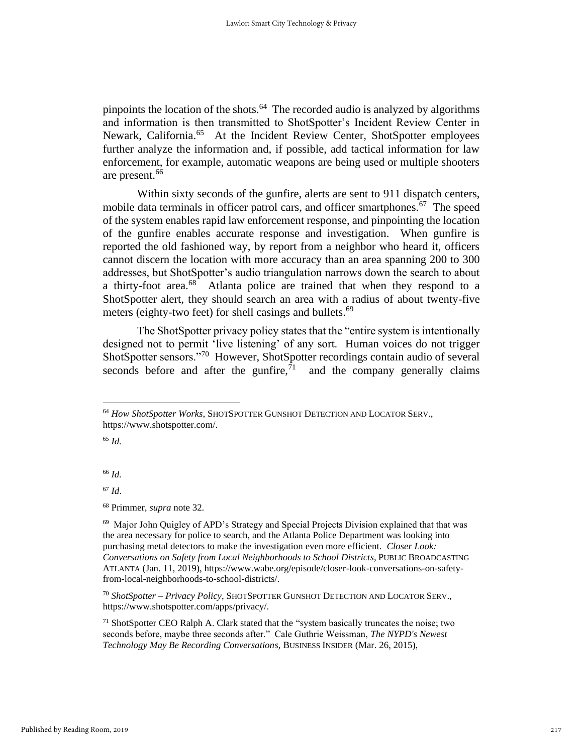pinpoints the location of the shots.<sup>64</sup> The recorded audio is analyzed by algorithms and information is then transmitted to ShotSpotter's Incident Review Center in Newark, California.<sup>65</sup> At the Incident Review Center, ShotSpotter employees further analyze the information and, if possible, add tactical information for law enforcement, for example, automatic weapons are being used or multiple shooters are present.<sup>66</sup>

Within sixty seconds of the gunfire, alerts are sent to 911 dispatch centers, mobile data terminals in officer patrol cars, and officer smartphones. $67$  The speed of the system enables rapid law enforcement response, and pinpointing the location of the gunfire enables accurate response and investigation. When gunfire is reported the old fashioned way, by report from a neighbor who heard it, officers cannot discern the location with more accuracy than an area spanning 200 to 300 addresses, but ShotSpotter's audio triangulation narrows down the search to about a thirty-foot area.<sup>68</sup> Atlanta police are trained that when they respond to a ShotSpotter alert, they should search an area with a radius of about twenty-five meters (eighty-two feet) for shell casings and bullets.<sup>69</sup>

The ShotSpotter privacy policy states that the "entire system is intentionally designed not to permit 'live listening' of any sort. Human voices do not trigger ShotSpotter sensors."<sup>70</sup> However, ShotSpotter recordings contain audio of several seconds before and after the gunfire, $71$  and the company generally claims

<sup>65</sup> *Id.*

<sup>66</sup> *Id.* 

<sup>67</sup> *Id*.

<sup>68</sup> Primmer, *supra* note 32.

<sup>70</sup> *ShotSpotter – Privacy Policy*, SHOTSPOTTER GUNSHOT DETECTION AND LOCATOR SERV., https://www.shotspotter.com/apps/privacy/.

<sup>71</sup> ShotSpotter CEO Ralph A. Clark stated that the "system basically truncates the noise; two seconds before, maybe three seconds after." Cale Guthrie Weissman, *The NYPD's Newest Technology May Be Recording Conversations,* BUSINESS INSIDER (Mar. 26, 2015),

<sup>64</sup> *How ShotSpotter Works*, SHOTSPOTTER GUNSHOT DETECTION AND LOCATOR SERV., https://www.shotspotter.com/.

<sup>&</sup>lt;sup>69</sup> Major John Quigley of APD's Strategy and Special Projects Division explained that that was the area necessary for police to search, and the Atlanta Police Department was looking into purchasing metal detectors to make the investigation even more efficient. *Closer Look: Conversations on Safety from Local Neighborhoods to School Districts,* PUBLIC BROADCASTING ATLANTA (Jan. 11, 2019), https://www.wabe.org/episode/closer-look-conversations-on-safetyfrom-local-neighborhoods-to-school-districts/.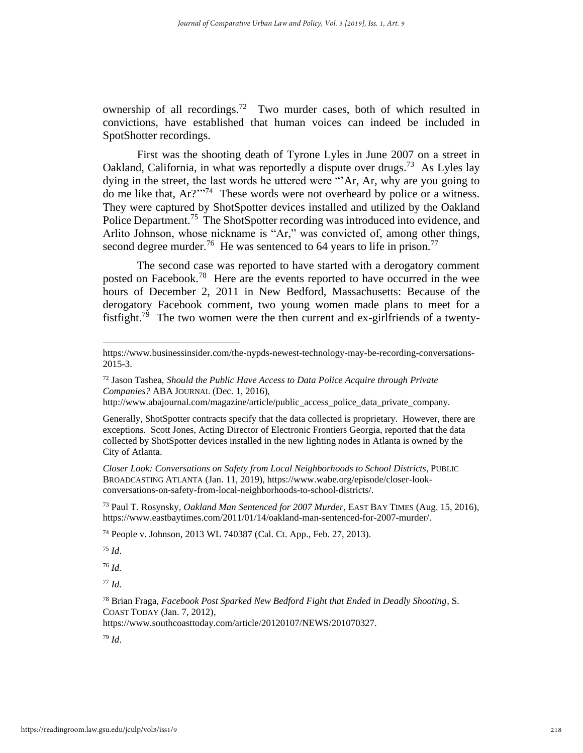ownership of all recordings.<sup>72</sup> Two murder cases, both of which resulted in convictions, have established that human voices can indeed be included in SpotShotter recordings.

First was the shooting death of Tyrone Lyles in June 2007 on a street in Oakland, California, in what was reportedly a dispute over drugs.<sup>73</sup> As Lyles lay dying in the street, the last words he uttered were "'Ar, Ar, why are you going to do me like that,  $Ar?^{m74}$  These words were not overheard by police or a witness. They were captured by ShotSpotter devices installed and utilized by the Oakland Police Department.<sup>75</sup> The ShotSpotter recording was introduced into evidence, and Arlito Johnson, whose nickname is "Ar," was convicted of, among other things, second degree murder.<sup>76</sup> He was sentenced to 64 years to life in prison.<sup>77</sup>

The second case was reported to have started with a derogatory comment posted on Facebook.<sup>78</sup> Here are the events reported to have occurred in the wee hours of December 2, 2011 in New Bedford, Massachusetts: Because of the derogatory Facebook comment, two young women made plans to meet for a fistfight.<sup>79</sup> The two women were the then current and ex-girlfriends of a twenty-

*Closer Look: Conversations on Safety from Local Neighborhoods to School Districts,* PUBLIC BROADCASTING ATLANTA (Jan. 11, 2019), https://www.wabe.org/episode/closer-lookconversations-on-safety-from-local-neighborhoods-to-school-districts/.

<sup>73</sup> Paul T. Rosynsky, *Oakland Man Sentenced for 2007 Murder*, EAST BAY TIMES (Aug. 15, 2016), https://www.eastbaytimes.com/2011/01/14/oakland-man-sentenced-for-2007-murder/.

<sup>74</sup> People v. Johnson, 2013 WL 740387 (Cal. Ct. App., Feb. 27, 2013).

<sup>75</sup> *Id*.

<sup>76</sup> *Id.*

<sup>77</sup> *Id.*

<sup>78</sup> Brian Fraga, *Facebook Post Sparked New Bedford Fight that Ended in Deadly Shooting*, S. COAST TODAY (Jan. 7, 2012),

https://www.southcoasttoday.com/article/20120107/NEWS/201070327.

https://www.businessinsider.com/the-nypds-newest-technology-may-be-recording-conversations-2015-3.

<sup>72</sup> Jason Tashea, *Should the Public Have Access to Data Police Acquire through Private Companies?* ABA JOURNAL (Dec. 1, 2016),

http://www.abajournal.com/magazine/article/public\_access\_police\_data\_private\_company.

Generally, ShotSpotter contracts specify that the data collected is proprietary. However, there are exceptions. Scott Jones, Acting Director of Electronic Frontiers Georgia, reported that the data collected by ShotSpotter devices installed in the new lighting nodes in Atlanta is owned by the City of Atlanta.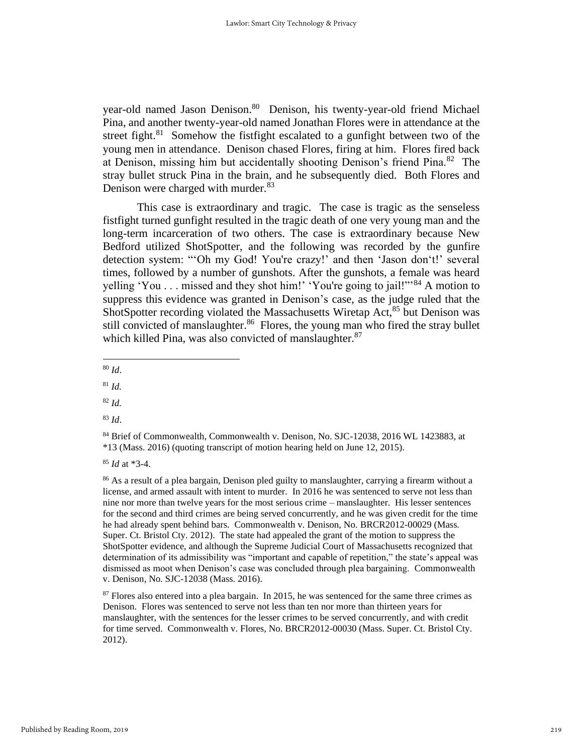year-old named Jason Denison.<sup>80</sup> Denison, his twenty-year-old friend Michael Pina, and another twenty-year-old named Jonathan Flores were in attendance at the street fight. $81$  Somehow the fistfight escalated to a gunfight between two of the young men in attendance. Denison chased Flores, firing at him. Flores fired back at Denison, missing him but accidentally shooting Denison's friend Pina.<sup>82</sup> The stray bullet struck Pina in the brain, and he subsequently died. Both Flores and Denison were charged with murder. $83$ 

This case is extraordinary and tragic. The case is tragic as the senseless fistfight turned gunfight resulted in the tragic death of one very young man and the long-term incarceration of two others. The case is extraordinary because New Bedford utilized ShotSpotter, and the following was recorded by the gunfire detection system: "'Oh my God! You're crazy!' and then 'Jason don't!' several times, followed by a number of gunshots. After the gunshots, a female was heard yelling 'You . . . missed and they shot him!' 'You're going to jail!"<sup>84</sup> A motion to suppress this evidence was granted in Denison's case, as the judge ruled that the ShotSpotter recording violated the Massachusetts Wiretap Act,<sup>85</sup> but Denison was still convicted of manslaughter.<sup>86</sup> Flores, the young man who fired the stray bullet which killed Pina, was also convicted of manslaughter.<sup>87</sup>

- <sup>80</sup> *Id*.
- <sup>81</sup> *Id.*

<sup>82</sup> *Id.*

<sup>83</sup> *Id*.

<sup>85</sup> *Id* at \*3-4.

<sup>86</sup> As a result of a plea bargain, Denison pled guilty to manslaughter, carrying a firearm without a license, and armed assault with intent to murder. In 2016 he was sentenced to serve not less than nine nor more than twelve years for the most serious crime – manslaughter. His lesser sentences for the second and third crimes are being served concurrently, and he was given credit for the time he had already spent behind bars. Commonwealth v. Denison, No. BRCR2012-00029 (Mass. Super. Ct. Bristol Cty. 2012). The state had appealed the grant of the motion to suppress the ShotSpotter evidence, and although the Supreme Judicial Court of Massachusetts recognized that determination of its admissibility was "important and capable of repetition," the state's appeal was dismissed as moot when Denison's case was concluded through plea bargaining. Commonwealth v. Denison, No. SJC-12038 (Mass. 2016).

<sup>87</sup> Flores also entered into a plea bargain. In 2015, he was sentenced for the same three crimes as Denison. Flores was sentenced to serve not less than ten nor more than thirteen years for manslaughter, with the sentences for the lesser crimes to be served concurrently, and with credit for time served. Commonwealth v. Flores, No. BRCR2012-00030 (Mass. Super. Ct. Bristol Cty. 2012).

<sup>84</sup> Brief of Commonwealth, Commonwealth v. Denison, No. SJC-12038, 2016 WL 1423883, at \*13 (Mass. 2016) (quoting transcript of motion hearing held on June 12, 2015).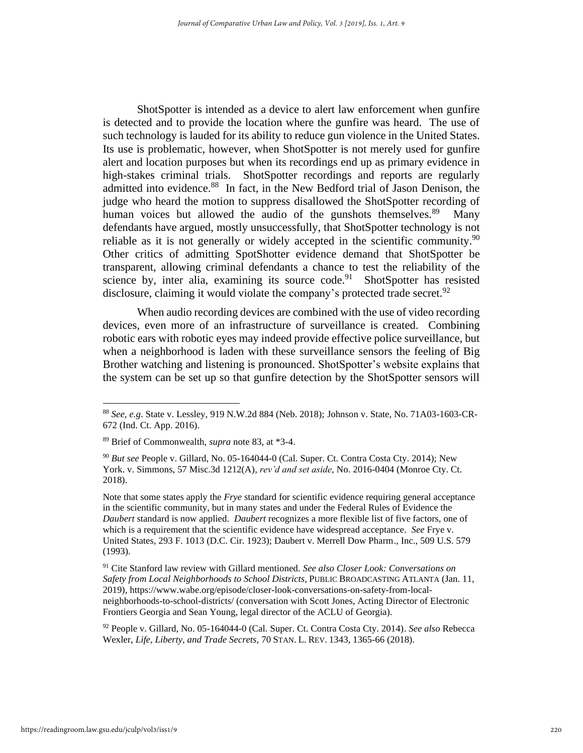ShotSpotter is intended as a device to alert law enforcement when gunfire is detected and to provide the location where the gunfire was heard. The use of such technology is lauded for its ability to reduce gun violence in the United States. Its use is problematic, however, when ShotSpotter is not merely used for gunfire alert and location purposes but when its recordings end up as primary evidence in high-stakes criminal trials. ShotSpotter recordings and reports are regularly admitted into evidence.<sup>88</sup> In fact, in the New Bedford trial of Jason Denison, the judge who heard the motion to suppress disallowed the ShotSpotter recording of human voices but allowed the audio of the gunshots themselves.<sup>89</sup> Many defendants have argued, mostly unsuccessfully, that ShotSpotter technology is not reliable as it is not generally or widely accepted in the scientific community.<sup>90</sup> Other critics of admitting SpotShotter evidence demand that ShotSpotter be transparent, allowing criminal defendants a chance to test the reliability of the science by, inter alia, examining its source code.<sup>91</sup> ShotSpotter has resisted disclosure, claiming it would violate the company's protected trade secret.<sup>92</sup>

When audio recording devices are combined with the use of video recording devices, even more of an infrastructure of surveillance is created. Combining robotic ears with robotic eyes may indeed provide effective police surveillance, but when a neighborhood is laden with these surveillance sensors the feeling of Big Brother watching and listening is pronounced. ShotSpotter's website explains that the system can be set up so that gunfire detection by the ShotSpotter sensors will

Note that some states apply the *Frye* standard for scientific evidence requiring general acceptance in the scientific community, but in many states and under the Federal Rules of Evidence the *Daubert* standard is now applied. *Daubert* recognizes a more flexible list of five factors, one of which is a requirement that the scientific evidence have widespread acceptance. *See* Frye v. United States, 293 F. 1013 (D.C. Cir. 1923); Daubert v. Merrell Dow Pharm., Inc., 509 U.S. 579 (1993).

<sup>91</sup> Cite Stanford law review with Gillard mentioned. *See also Closer Look: Conversations on Safety from Local Neighborhoods to School Districts,* PUBLIC BROADCASTING ATLANTA (Jan. 11, 2019), https://www.wabe.org/episode/closer-look-conversations-on-safety-from-localneighborhoods-to-school-districts/ (conversation with Scott Jones, Acting Director of Electronic Frontiers Georgia and Sean Young, legal director of the ACLU of Georgia).

<sup>92</sup> People v. Gillard, No. 05-164044-0 (Cal. Super. Ct. Contra Costa Cty. 2014). *See also* Rebecca Wexler, *Life, Liberty, and Trade Secrets,* 70 STAN. L. REV. 1343*,* 1365-66 (2018).

<sup>88</sup> *See, e.g*. State v. Lessley, 919 N.W.2d 884 (Neb. 2018); Johnson v. State, No. 71A03-1603-CR-672 (Ind. Ct. App. 2016).

<sup>89</sup> Brief of Commonwealth, *supra* note 83, at \*3-4.

<sup>90</sup> *But see* People v. Gillard, No. 05-164044-0 (Cal. Super. Ct. Contra Costa Cty. 2014); New York. v. Simmons, 57 Misc.3d 1212(A), *rev'd and set aside,* No. 2016-0404 (Monroe Cty. Ct. 2018).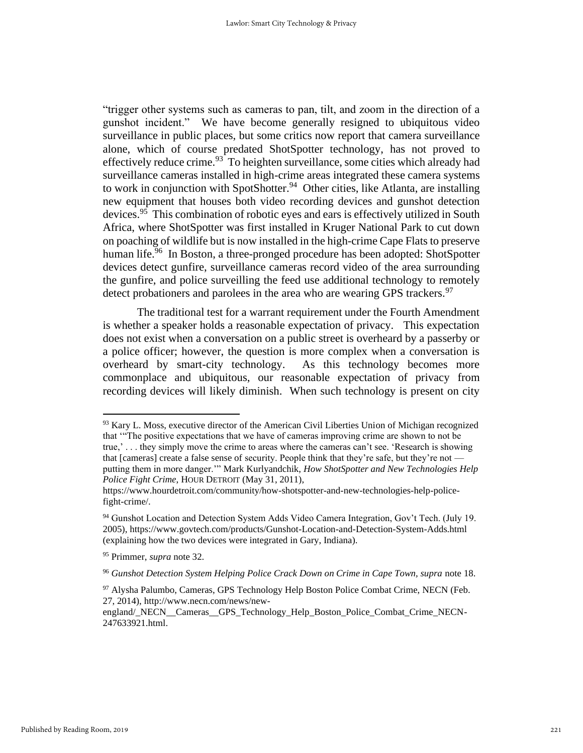"trigger other systems such as cameras to pan, tilt, and zoom in the direction of a gunshot incident." We have become generally resigned to ubiquitous video surveillance in public places, but some critics now report that camera surveillance alone, which of course predated ShotSpotter technology, has not proved to effectively reduce crime.<sup>93</sup> To heighten surveillance, some cities which already had surveillance cameras installed in high-crime areas integrated these camera systems to work in conjunction with SpotShotter.<sup>94</sup> Other cities, like Atlanta, are installing new equipment that houses both video recording devices and gunshot detection devices.<sup>95</sup> This combination of robotic eyes and ears is effectively utilized in South Africa, where ShotSpotter was first installed in Kruger National Park to cut down on poaching of wildlife but is now installed in the high-crime Cape Flats to preserve human life.<sup>96</sup> In Boston, a three-pronged procedure has been adopted: ShotSpotter devices detect gunfire, surveillance cameras record video of the area surrounding the gunfire, and police surveilling the feed use additional technology to remotely detect probationers and parolees in the area who are wearing GPS trackers.<sup>97</sup>

The traditional test for a warrant requirement under the Fourth Amendment is whether a speaker holds a reasonable expectation of privacy. This expectation does not exist when a conversation on a public street is overheard by a passerby or a police officer; however, the question is more complex when a conversation is overheard by smart-city technology. As this technology becomes more commonplace and ubiquitous, our reasonable expectation of privacy from recording devices will likely diminish. When such technology is present on city

 $93$  Kary L. Moss, executive director of the American Civil Liberties Union of Michigan recognized that '"The positive expectations that we have of cameras improving crime are shown to not be true,' . . . they simply move the crime to areas where the cameras can't see. 'Research is showing that [cameras] create a false sense of security. People think that they're safe, but they're not putting them in more danger.'" Mark Kurlyandchik, *How ShotSpotter and New Technologies Help Police Fight Crime*, HOUR DETROIT (May 31, 2011),

https://www.hourdetroit.com/community/how-shotspotter-and-new-technologies-help-policefight-crime/.

<sup>94</sup> Gunshot Location and Detection System Adds Video Camera Integration, Gov't Tech. (July 19. 2005), https://www.govtech.com/products/Gunshot-Location-and-Detection-System-Adds.html (explaining how the two devices were integrated in Gary, Indiana).

<sup>95</sup> Primmer, *supra* note 32.

<sup>&</sup>lt;sup>96</sup> Gunshot Detection System Helping Police Crack Down on Crime in Cape Town, supra note 18.

<sup>97</sup> Alysha Palumbo, Cameras, GPS Technology Help Boston Police Combat Crime, NECN (Feb. 27, 2014), http://www.necn.com/news/new-

england/\_NECN\_\_Cameras\_\_GPS\_Technology\_Help\_Boston\_Police\_Combat\_Crime\_NECN-247633921.html.